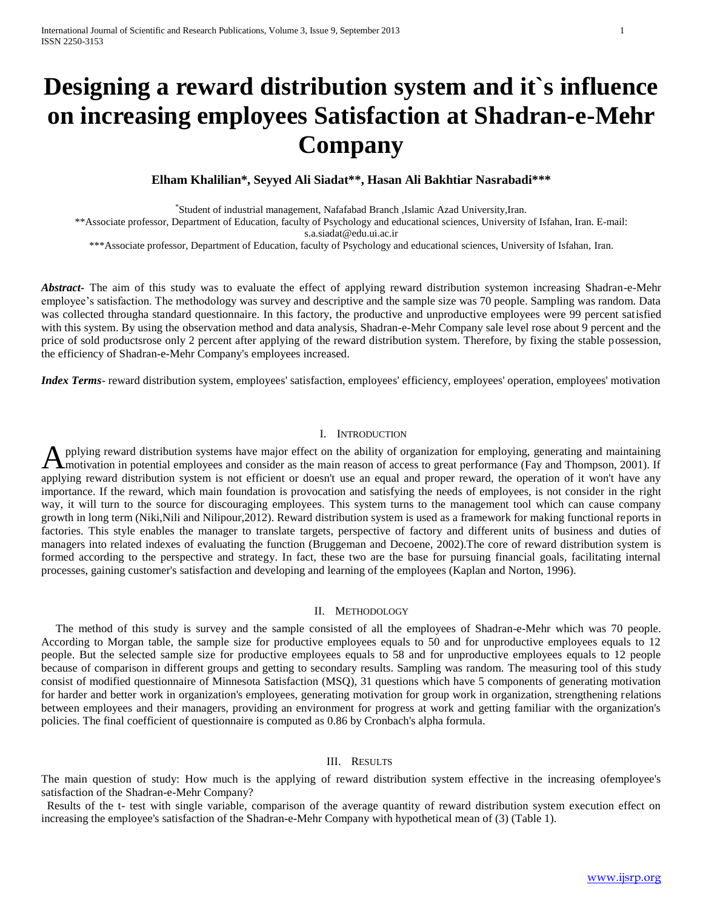# **Designing a reward distribution system and it`s influence on increasing employees Satisfaction at Shadran-e-Mehr Company**

**Elham Khalilian\*, Seyyed Ali Siadat\*\*, Hasan Ali Bakhtiar Nasrabadi\*\*\*** 

\* Student of industrial management, Nafafabad Branch ,Islamic Azad University,Iran.

\*\*Associate professor, Department of Education, faculty of Psychology and educational sciences, University of Isfahan, Iran. E-mail:

s.a.siadat@edu.ui.ac.ir

\*\*\*Associate professor, Department of Education, faculty of Psychology and educational sciences, University of Isfahan, Iran.

*Abstract***-** The aim of this study was to evaluate the effect of applying reward distribution systemon increasing Shadran-e-Mehr employee's satisfaction. The methodology was survey and descriptive and the sample size was 70 people. Sampling was random. Data was collected througha standard questionnaire. In this factory, the productive and unproductive employees were 99 percent satisfied with this system. By using the observation method and data analysis, Shadran-e-Mehr Company sale level rose about 9 percent and the price of sold productsrose only 2 percent after applying of the reward distribution system. Therefore, by fixing the stable possession, the efficiency of Shadran-e-Mehr Company's employees increased.

*Index Terms*- reward distribution system, employees' satisfaction, employees' efficiency, employees' operation, employees' motivation

#### I. INTRODUCTION

pplying reward distribution systems have major effect on the ability of organization for employing, generating and maintaining Applying reward distribution systems have major effect on the ability of organization for employing, generating and maintaining<br>Amotivation in potential employees and consider as the main reason of access to great performa applying reward distribution system is not efficient or doesn't use an equal and proper reward, the operation of it won't have any importance. If the reward, which main foundation is provocation and satisfying the needs of employees, is not consider in the right way, it will turn to the source for discouraging employees. This system turns to the management tool which can cause company growth in long term (Niki,Nili and Nilipour,2012). Reward distribution system is used as a framework for making functional reports in factories. This style enables the manager to translate targets, perspective of factory and different units of business and duties of managers into related indexes of evaluating the function (Bruggeman and Decoene, 2002). The core of reward distribution system is formed according to the perspective and strategy. In fact, these two are the base for pursuing financial goals, facilitating internal processes, gaining customer's satisfaction and developing and learning of the employees (Kaplan and Norton, 1996).

### II. METHODOLOGY

 The method of this study is survey and the sample consisted of all the employees of Shadran-e-Mehr which was 70 people. According to Morgan table, the sample size for productive employees equals to 50 and for unproductive employees equals to 12 people. But the selected sample size for productive employees equals to 58 and for unproductive employees equals to 12 people because of comparison in different groups and getting to secondary results. Sampling was random. The measuring tool of this study consist of modified questionnaire of Minnesota Satisfaction (MSQ), 31 questions which have 5 components of generating motivation for harder and better work in organization's employees, generating motivation for group work in organization, strengthening relations between employees and their managers, providing an environment for progress at work and getting familiar with the organization's policies. The final coefficient of questionnaire is computed as 0.86 by Cronbach's alpha formula.

#### III. RESULTS

The main question of study: How much is the applying of reward distribution system effective in the increasing ofemployee's satisfaction of the Shadran-e-Mehr Company?

 Results of the t- test with single variable, comparison of the average quantity of reward distribution system execution effect on increasing the employee's satisfaction of the Shadran-e-Mehr Company with hypothetical mean of (3) (Table 1).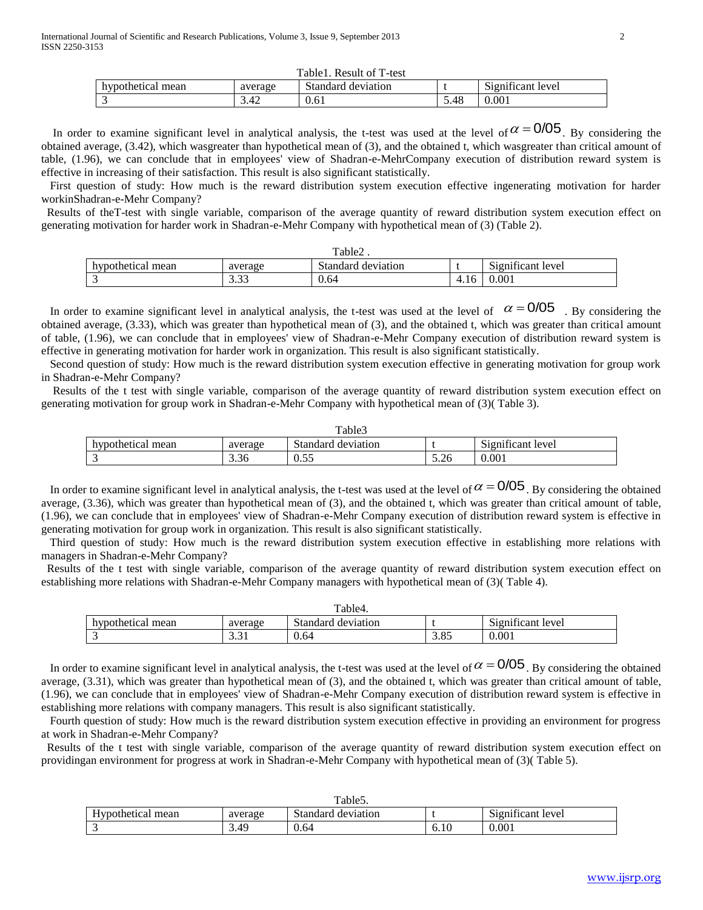| Table1. Result of T-test |         |                    |      |                   |  |
|--------------------------|---------|--------------------|------|-------------------|--|
| hypothetical mean        | average | Standard deviation |      | Significant level |  |
|                          |         | 0.61               | 5.48 | 0.001             |  |

In order to examine significant level in analytical analysis, the t-test was used at the level of  $\alpha = 0/05$ . By considering the obtained average, (3.42), which wasgreater than hypothetical mean of (3), and the obtained t, which wasgreater than critical amount of table, (1.96), we can conclude that in employees' view of Shadran-e-MehrCompany execution of distribution reward system is effective in increasing of their satisfaction. This result is also significant statistically.

 First question of study: How much is the reward distribution system execution effective ingenerating motivation for harder workinShadran-e-Mehr Company?

 Results of theT-test with single variable, comparison of the average quantity of reward distribution system execution effect on generating motivation for harder work in Shadran-e-Mehr Company with hypothetical mean of (3) (Table 2).

| $Table_2$ .       |                        |                         |      |                                               |  |
|-------------------|------------------------|-------------------------|------|-----------------------------------------------|--|
| hypothetical mean | average                | Standard<br>l deviation |      | $\cdot$ $\sim$<br>$\sim$<br>Significant level |  |
| $\sqrt{2}$<br>◡   | $\sim$ $\sim$<br>ر ر.ر | 0.64                    | 4.16 | 0.001                                         |  |

In order to examine significant level in analytical analysis, the t-test was used at the level of  $\alpha = 0/05$ . By considering the obtained average, (3.33), which was greater than hypothetical mean of (3), and the obtained t, which was greater than critical amount of table, (1.96), we can conclude that in employees' view of Shadran-e-Mehr Company execution of distribution reward system is effective in generating motivation for harder work in organization. This result is also significant statistically.

 Second question of study: How much is the reward distribution system execution effective in generating motivation for group work in Shadran-e-Mehr Company?

 Results of the t test with single variable, comparison of the average quantity of reward distribution system execution effect on generating motivation for group work in Shadran-e-Mehr Company with hypothetical mean of (3)( Table 3).

| Table3            |                |                    |      |                                               |  |
|-------------------|----------------|--------------------|------|-----------------------------------------------|--|
| hypothetical mean | average        | Standard deviation |      | $\sim$<br>$\cdot$ $\sim$<br>Significant level |  |
|                   | $\sim$<br>3.36 | 55<br>u.JJ         | 5.26 | 0.001                                         |  |

In order to examine significant level in analytical analysis, the t-test was used at the level of  $\alpha = 0/05$ . By considering the obtained average, (3.36), which was greater than hypothetical mean of (3), and the obtained t, which was greater than critical amount of table, (1.96), we can conclude that in employees' view of Shadran-e-Mehr Company execution of distribution reward system is effective in generating motivation for group work in organization. This result is also significant statistically.

 Third question of study: How much is the reward distribution system execution effective in establishing more relations with managers in Shadran-e-Mehr Company?

 Results of the t test with single variable, comparison of the average quantity of reward distribution system execution effect on establishing more relations with Shadran-e-Mehr Company managers with hypothetical mean of (3)( Table 4).

| Table4.              |         |                       |        |                                                    |  |
|----------------------|---------|-----------------------|--------|----------------------------------------------------|--|
| hypothetical<br>mean | average | Standard<br>deviation |        | $\cdot$ $\sim$<br>$\sim$<br>i level<br>Significant |  |
| $\sim$<br>-          | ۰. د    | 0.64                  | OC<br> | 0.001                                              |  |

In order to examine significant level in analytical analysis, the t-test was used at the level of  $\alpha = 0/05$ . By considering the obtained average, (3.31), which was greater than hypothetical mean of (3), and the obtained t, which was greater than critical amount of table, (1.96), we can conclude that in employees' view of Shadran-e-Mehr Company execution of distribution reward system is effective in establishing more relations with company managers. This result is also significant statistically.

 Fourth question of study: How much is the reward distribution system execution effective in providing an environment for progress at work in Shadran-e-Mehr Company?

 Results of the t test with single variable, comparison of the average quantity of reward distribution system execution effect on providingan environment for progress at work in Shadran-e-Mehr Company with hypothetical mean of (3)( Table 5).

| Table <sub>5</sub> . |         |                       |      |                                                  |  |
|----------------------|---------|-----------------------|------|--------------------------------------------------|--|
| Hypothetical mean    | average | Standard<br>deviation |      | $\sim$<br>$\cdot$ $\sim$<br>level<br>Significant |  |
| $\sim$<br>-          | 3.49    | 0.64                  | 6.10 | 0.001                                            |  |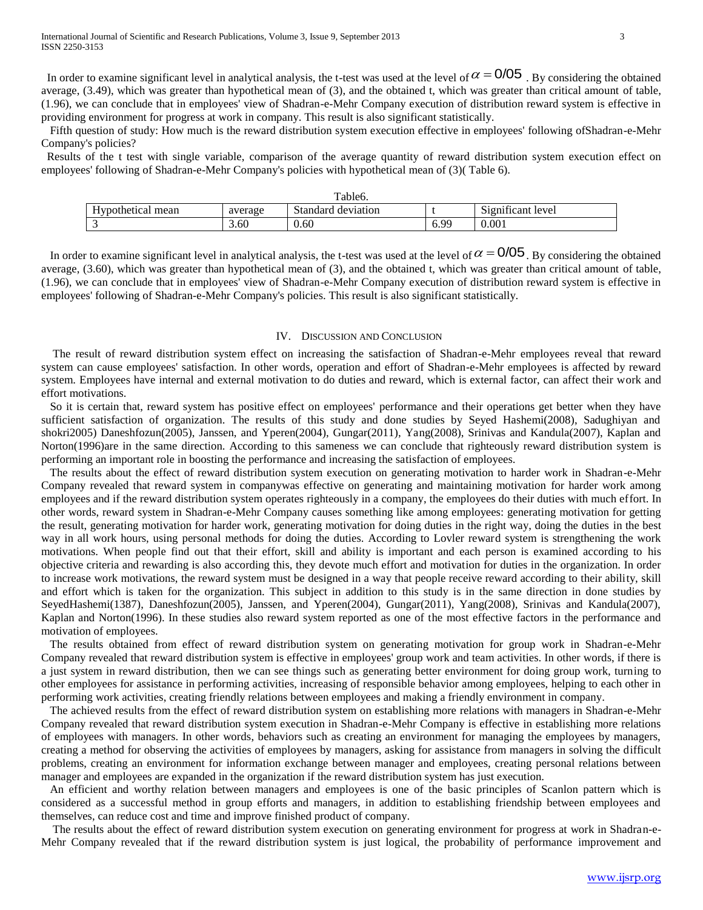Fifth question of study: How much is the reward distribution system execution effective in employees' following ofShadran-e-Mehr Company's policies?

 Results of the t test with single variable, comparison of the average quantity of reward distribution system execution effect on employees' following of Shadran-e-Mehr Company's policies with hypothetical mean of (3)( Table 6).

| Table <sub>6</sub> . |         |                    |               |                                         |  |
|----------------------|---------|--------------------|---------------|-----------------------------------------|--|
| Hypothetical mean    | average | Standard deviation |               | $\cdots$<br>$\sim$<br>Significant level |  |
|                      | 3.60    | 0.60               | 5 QQ<br>-6.95 | 0.001                                   |  |

In order to examine significant level in analytical analysis, the t-test was used at the level of  $\alpha = 0/05$ . By considering the obtained average, (3.60), which was greater than hypothetical mean of (3), and the obtained t, which was greater than critical amount of table, (1.96), we can conclude that in employees' view of Shadran-e-Mehr Company execution of distribution reward system is effective in employees' following of Shadran-e-Mehr Company's policies. This result is also significant statistically.

## IV. DISCUSSION AND CONCLUSION

 The result of reward distribution system effect on increasing the satisfaction of Shadran-e-Mehr employees reveal that reward system can cause employees' satisfaction. In other words, operation and effort of Shadran-e-Mehr employees is affected by reward system. Employees have internal and external motivation to do duties and reward, which is external factor, can affect their work and effort motivations.

 So it is certain that, reward system has positive effect on employees' performance and their operations get better when they have sufficient satisfaction of organization. The results of this study and done studies by Seyed Hashemi(2008), Sadughiyan and shokri2005) Daneshfozun(2005), Janssen, and Yperen(2004), Gungar(2011), Yang(2008), Srinivas and Kandula(2007), Kaplan and Norton(1996)are in the same direction. According to this sameness we can conclude that righteously reward distribution system is performing an important role in boosting the performance and increasing the satisfaction of employees.

 The results about the effect of reward distribution system execution on generating motivation to harder work in Shadran-e-Mehr Company revealed that reward system in companywas effective on generating and maintaining motivation for harder work among employees and if the reward distribution system operates righteously in a company, the employees do their duties with much effort. In other words, reward system in Shadran-e-Mehr Company causes something like among employees: generating motivation for getting the result, generating motivation for harder work, generating motivation for doing duties in the right way, doing the duties in the best way in all work hours, using personal methods for doing the duties. According to Lovler reward system is strengthening the work motivations. When people find out that their effort, skill and ability is important and each person is examined according to his objective criteria and rewarding is also according this, they devote much effort and motivation for duties in the organization. In order to increase work motivations, the reward system must be designed in a way that people receive reward according to their ability, skill and effort which is taken for the organization. This subject in addition to this study is in the same direction in done studies by SeyedHashemi(1387), Daneshfozun(2005), Janssen, and Yperen(2004), Gungar(2011), Yang(2008), Srinivas and Kandula(2007), Kaplan and Norton(1996). In these studies also reward system reported as one of the most effective factors in the performance and motivation of employees.

 The results obtained from effect of reward distribution system on generating motivation for group work in Shadran-e-Mehr Company revealed that reward distribution system is effective in employees' group work and team activities. In other words, if there is a just system in reward distribution, then we can see things such as generating better environment for doing group work, turning to other employees for assistance in performing activities, increasing of responsible behavior among employees, helping to each other in performing work activities, creating friendly relations between employees and making a friendly environment in company.

 The achieved results from the effect of reward distribution system on establishing more relations with managers in Shadran-e-Mehr Company revealed that reward distribution system execution in Shadran-e-Mehr Company is effective in establishing more relations of employees with managers. In other words, behaviors such as creating an environment for managing the employees by managers, creating a method for observing the activities of employees by managers, asking for assistance from managers in solving the difficult problems, creating an environment for information exchange between manager and employees, creating personal relations between manager and employees are expanded in the organization if the reward distribution system has just execution.

 An efficient and worthy relation between managers and employees is one of the basic principles of Scanlon pattern which is considered as a successful method in group efforts and managers, in addition to establishing friendship between employees and themselves, can reduce cost and time and improve finished product of company.

 The results about the effect of reward distribution system execution on generating environment for progress at work in Shadran-e-Mehr Company revealed that if the reward distribution system is just logical, the probability of performance improvement and